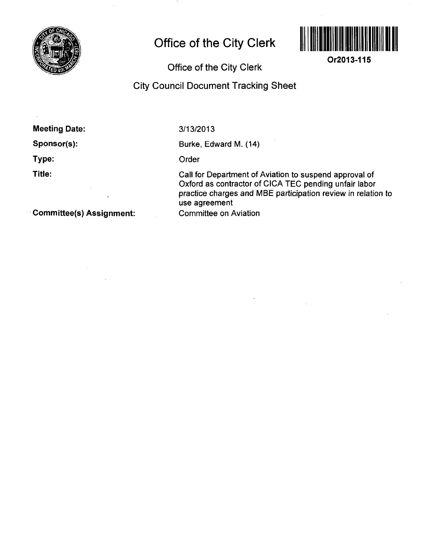

# **Office of the City Clerk**



**Or2013-115** 

## Office of the Gity Clerk

### City Council Document Tracking Sheet

Meeting Date:

Sponsor(s):

Type:

Title:

**3/13/2013** 

Burke, Edward M. (14)

Order

Call for Department of Aviation to suspend approval of Oxford as contractor of CICA TEC pending unfair labor practice charges and MBE participation review in relation to use agreement Committee on Aviation

Committee(s) Assignment: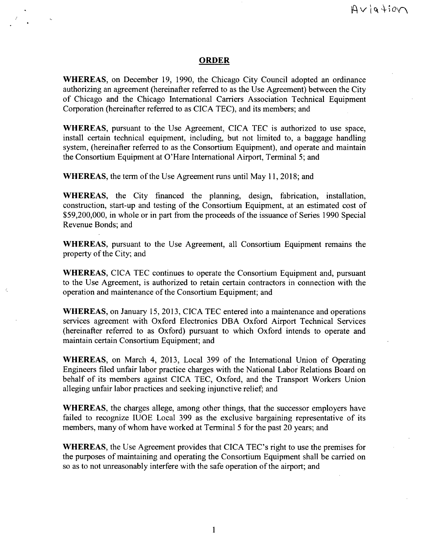### **ORDER**

WHEREAS, on December 19, 1990, the Chicago City Council adopted an ordinance authorizing an agreement (hereinafter referred to as the Use Agreement) between the City of Chicago and the Chicago Intemational Carriers Association Technical Equipment Corporation (hereinafter referred to as CICA TEC), and its members; and

WHEREAS, pursuant to the Use Agreement, CICA TEC is authorized to use space, install certain technical equipment, including, but not limited to, a baggage handling system, (hereinafter referred to as the Consortium Equipment), and operate and maintain the Consortium Equipment at O'Hare Intemational Airport, Terminal 5; and

WHEREAS, the term of the Use Agreement runs until May 11, 2018; and

WHEREAS, the City financed the planning, design, fabrication, installation, constmction, start-up and testing of the Consortium Equipment, at an estimated cost of \$59,200,000, in whole or in part from the proceeds of the issuance of Series 1990 Special Revenue Bonds; and

WHEREAS, pursuant to the Use Agreement, all Consortium Equipment remains the property of the City; and

WHEREAS, CICA TEC continues to operate the Consortium Equipment and, pursuant to the Use Agreement, is authorized to retain certain contractors in connection with the operation and maintenance of the Consortium Equipment; and

WHEREAS, on January 15, 2013, CICA TEC entered into a maintenance and operations services agreement with Oxford Electronics DBA Oxford Airport Technical Services (hereinafter referred to as Oxford) pursuant to which Oxford intends to operate and maintain certain Consortium Equipment; and

WHEREAS, on March 4, 2013, Local 399 of the Intemational Union of Operating Engineers filed unfair labor practice charges with the National Labor Relations Board on behalf of its members against CICA TEC, Oxford, and the Transport Workers Union alleging unfair labor practices and seeking injunctive relief; and

WHEREAS, the charges allege, among other things, that the successor employers have failed to recognize lUOE Local 399 as the exclusive bargaining representative of its members, many of whom have worked at Terminal 5 for the past 20 years; and

WHEREAS, the Use Agreement provides that CICA TEC's right to use the premises for the purposes of maintaining and operating the Consortium Equipment shall be carried on so as to not unreasonably interfere with the safe operation of the airport; and

 $\mathbf{1}$